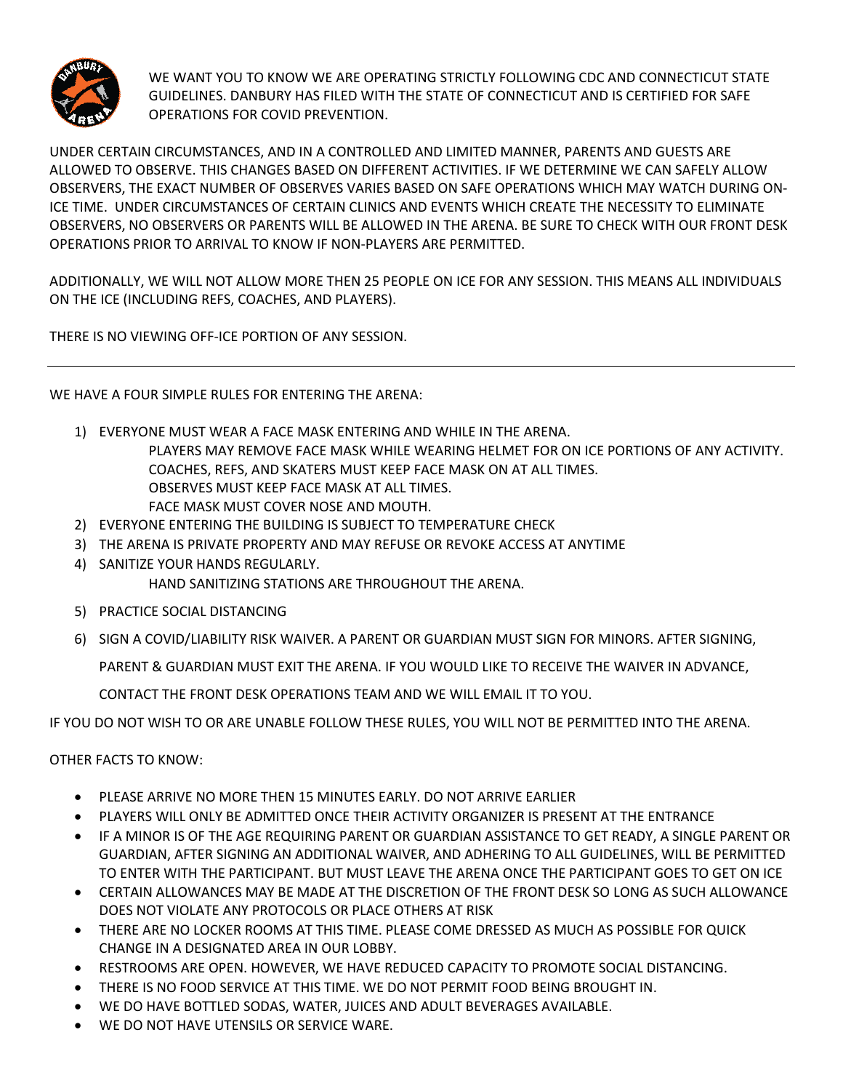

WE WANT YOU TO KNOW WE ARE OPERATING STRICTLY FOLLOWING CDC AND CONNECTICUT STATE GUIDELINES. DANBURY HAS FILED WITH THE STATE OF CONNECTICUT AND IS CERTIFIED FOR SAFE OPERATIONS FOR COVID PREVENTION.

UNDER CERTAIN CIRCUMSTANCES, AND IN A CONTROLLED AND LIMITED MANNER, PARENTS AND GUESTS ARE ALLOWED TO OBSERVE. THIS CHANGES BASED ON DIFFERENT ACTIVITIES. IF WE DETERMINE WE CAN SAFELY ALLOW OBSERVERS, THE EXACT NUMBER OF OBSERVES VARIES BASED ON SAFE OPERATIONS WHICH MAY WATCH DURING ON-ICE TIME. UNDER CIRCUMSTANCES OF CERTAIN CLINICS AND EVENTS WHICH CREATE THE NECESSITY TO ELIMINATE OBSERVERS, NO OBSERVERS OR PARENTS WILL BE ALLOWED IN THE ARENA. BE SURE TO CHECK WITH OUR FRONT DESK OPERATIONS PRIOR TO ARRIVAL TO KNOW IF NON-PLAYERS ARE PERMITTED.

ADDITIONALLY, WE WILL NOT ALLOW MORE THEN 25 PEOPLE ON ICE FOR ANY SESSION. THIS MEANS ALL INDIVIDUALS ON THE ICE (INCLUDING REFS, COACHES, AND PLAYERS).

THERE IS NO VIEWING OFF-ICE PORTION OF ANY SESSION.

WE HAVE A FOUR SIMPLE RULES FOR ENTERING THE ARENA:

- 1) EVERYONE MUST WEAR A FACE MASK ENTERING AND WHILE IN THE ARENA. PLAYERS MAY REMOVE FACE MASK WHILE WEARING HELMET FOR ON ICE PORTIONS OF ANY ACTIVITY. COACHES, REFS, AND SKATERS MUST KEEP FACE MASK ON AT ALL TIMES. OBSERVES MUST KEEP FACE MASK AT ALL TIMES. FACE MASK MUST COVER NOSE AND MOUTH.
- 2) EVERYONE ENTERING THE BUILDING IS SUBJECT TO TEMPERATURE CHECK
- 3) THE ARENA IS PRIVATE PROPERTY AND MAY REFUSE OR REVOKE ACCESS AT ANYTIME
- 4) SANITIZE YOUR HANDS REGULARLY. HAND SANITIZING STATIONS ARE THROUGHOUT THE ARENA.
- 5) PRACTICE SOCIAL DISTANCING
- 6) SIGN A COVID/LIABILITY RISK WAIVER. A PARENT OR GUARDIAN MUST SIGN FOR MINORS. AFTER SIGNING,

PARENT & GUARDIAN MUST EXIT THE ARENA. IF YOU WOULD LIKE TO RECEIVE THE WAIVER IN ADVANCE,

CONTACT THE FRONT DESK OPERATIONS TEAM AND WE WILL EMAIL IT TO YOU.

IF YOU DO NOT WISH TO OR ARE UNABLE FOLLOW THESE RULES, YOU WILL NOT BE PERMITTED INTO THE ARENA.

OTHER FACTS TO KNOW:

- PLEASE ARRIVE NO MORE THEN 15 MINUTES EARLY. DO NOT ARRIVE EARLIER
- PLAYERS WILL ONLY BE ADMITTED ONCE THEIR ACTIVITY ORGANIZER IS PRESENT AT THE ENTRANCE
- IF A MINOR IS OF THE AGE REQUIRING PARENT OR GUARDIAN ASSISTANCE TO GET READY, A SINGLE PARENT OR GUARDIAN, AFTER SIGNING AN ADDITIONAL WAIVER, AND ADHERING TO ALL GUIDELINES, WILL BE PERMITTED TO ENTER WITH THE PARTICIPANT. BUT MUST LEAVE THE ARENA ONCE THE PARTICIPANT GOES TO GET ON ICE
- CERTAIN ALLOWANCES MAY BE MADE AT THE DISCRETION OF THE FRONT DESK SO LONG AS SUCH ALLOWANCE DOES NOT VIOLATE ANY PROTOCOLS OR PLACE OTHERS AT RISK
- THERE ARE NO LOCKER ROOMS AT THIS TIME. PLEASE COME DRESSED AS MUCH AS POSSIBLE FOR QUICK CHANGE IN A DESIGNATED AREA IN OUR LOBBY.
- RESTROOMS ARE OPEN. HOWEVER, WE HAVE REDUCED CAPACITY TO PROMOTE SOCIAL DISTANCING.
- THERE IS NO FOOD SERVICE AT THIS TIME. WE DO NOT PERMIT FOOD BEING BROUGHT IN.
- WE DO HAVE BOTTLED SODAS, WATER, JUICES AND ADULT BEVERAGES AVAILABLE.
- WE DO NOT HAVE UTENSILS OR SERVICE WARE.